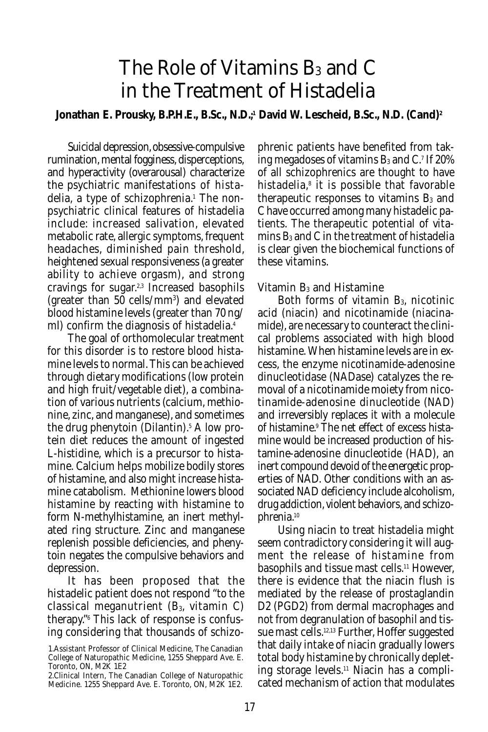# The Role of Vitamins B<sub>3</sub> and C in the Treatment of Histadelia

### Jonathan E. Prousky, B.P.H.E., B.Sc., N.D.;<sup>1</sup> David W. Lescheid, B.Sc., N.D. (Cand)<sup>2</sup>

Suicidal depression, obsessive-compulsive rumination, mental fogginess, disperceptions, and hyperactivity (overarousal) characterize the psychiatric manifestations of histadelia, a type of schizophrenia.<sup>1</sup> The nonpsychiatric clinical features of histadelia include: increased salivation, elevated metabolic rate, allergic symptoms, frequent headaches, diminished pain threshold, heightened sexual responsiveness (a greater ability to achieve orgasm), and strong cravings for sugar.2,3 Increased basophils (greater than 50 cells/mm<sup>3</sup>) and elevated blood histamine levels (greater than 70 ng/ ml) confirm the diagnosis of histadelia.4

The goal of orthomolecular treatment for this disorder is to restore blood histamine levels to normal. This can be achieved through dietary modifications (low protein and high fruit/vegetable diet), a combination of various nutrients (calcium, methionine, zinc, and manganese), and sometimes the drug phenytoin (Dilantin).<sup>5</sup> A low protein diet reduces the amount of ingested L-histidine, which is a precursor to histamine. Calcium helps mobilize bodily stores of histamine, and also might increase histamine catabolism. Methionine lowers blood histamine by reacting with histamine to form N-methylhistamine, an inert methylated ring structure. Zinc and manganese replenish possible deficiencies, and phenytoin negates the compulsive behaviors and depression.

It has been proposed that the histadelic patient does not respond "to the classical meganutrient  $(B_3, v$ itamin C) therapy."6 This lack of response is confusing considering that thousands of schizo-

phrenic patients have benefited from taking megadoses of vitamins  $\mathrm{B}_3$  and C. $^7$  If 20% of all schizophrenics are thought to have histadelia,<sup>s</sup> it is possible that favorable therapeutic responses to vitamins  $B_3$  and C have occurred among many histadelic patients. The therapeutic potential of vitamins  $B_3$  and C in the treatment of histadelia is clear given the biochemical functions of these vitamins.

#### Vitamin B3 and Histamine

Both forms of vitamin  $B_3$ , nicotinic acid (niacin) and nicotinamide (niacinamide), are necessary to counteract the clinical problems associated with high blood histamine. When histamine levels are in excess, the enzyme nicotinamide-adenosine dinucleotidase (NADase) catalyzes the removal of a nicotinamide moiety from nicotinamide-adenosine dinucleotide (NAD) and irreversibly replaces it with a molecule of histamine.9 The net effect of excess histamine would be increased production of histamine-adenosine dinucleotide (HAD), an inert compound devoid of the energetic properties of NAD. Other conditions with an associated NAD deficiency include alcoholism, drug addiction, violent behaviors, and schizophrenia.10

Using niacin to treat histadelia might seem contradictory considering it will augment the release of histamine from basophils and tissue mast cells.11 However, there is evidence that the niacin flush is mediated by the release of prostaglandin D2 (PGD2) from dermal macrophages and not from degranulation of basophil and tissue mast cells.12,13 Further, Hoffer suggested that daily intake of niacin gradually lowers total body histamine by chronically depleting storage levels.11 Niacin has a complicated mechanism of action that modulates

<sup>1.</sup>Assistant Professor of Clinical Medicine, The Canadian College of Naturopathic Medicine, 1255 Sheppard Ave. E. Toronto, ON, M2K 1E2

<sup>2.</sup>Clinical Intern, The Canadian College of Naturopathic Medicine. 1255 Sheppard Ave. E. Toronto, ON, M2K 1E2.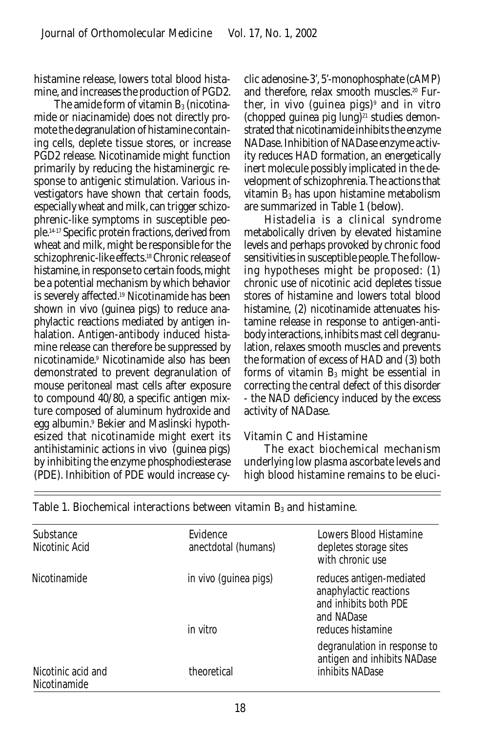histamine release, lowers total blood histamine, and increases the production of PGD2.

The amide form of vitamin  $B_3$  (nicotinamide or niacinamide) does not directly promote the degranulation of histamine containing cells, deplete tissue stores, or increase PGD2 release. Nicotinamide might function primarily by reducing the histaminergic response to antigenic stimulation. Various investigators have shown that certain foods, especially wheat and milk, can trigger schizophrenic-like symptoms in susceptible people.14-17 Specific protein fractions, derived from wheat and milk, might be responsible for the schizophrenic-like effects.<sup>18</sup> Chronic release of histamine, in response to certain foods, might be a potential mechanism by which behavior is severely affected.19 Nicotinamide has been shown in vivo (guinea pigs) to reduce anaphylactic reactions mediated by antigen inhalation. Antigen-antibody induced histamine release can therefore be suppressed by nicotinamide.9 Nicotinamide also has been demonstrated to prevent degranulation of mouse peritoneal mast cells after exposure to compound 40/80, a specific antigen mixture composed of aluminum hydroxide and egg albumin.9 Bekier and Maslinski hypothesized that nicotinamide might exert its antihistaminic actions in vivo (guinea pigs) by inhibiting the enzyme phosphodiesterase (PDE). Inhibition of PDE would increase cyclic adenosine-3', 5'-monophosphate (cAMP) and therefore, relax smooth muscles.<sup>20</sup> Further, in vivo (guinea pigs)<sup>9</sup> and in vitro  $(chopped$  guinea pig  $lung)^{21}$  studies demonstrated that nicotinamide inhibits the enzyme NADase. Inhibition of NADase enzyme activity reduces HAD formation, an energetically inert molecule possibly implicated in the development of schizophrenia. The actions that vitamin B3 has upon histamine metabolism are summarized in Table 1 (below).

Histadelia is a clinical syndrome metabolically driven by elevated histamine levels and perhaps provoked by chronic food sensitivities in susceptible people. The following hypotheses might be proposed: (1) chronic use of nicotinic acid depletes tissue stores of histamine and lowers total blood histamine, (2) nicotinamide attenuates histamine release in response to antigen-antibody interactions, inhibits mast cell degranulation, relaxes smooth muscles and prevents the formation of excess of HAD and (3) both forms of vitamin  $B_3$  might be essential in correcting the central defect of this disorder - the NAD deficiency induced by the excess activity of NADase.

#### Vitamin C and Histamine

The exact biochemical mechanism underlying low plasma ascorbate levels and high blood histamine remains to be eluci-

| Substance<br>Nicotinic Acid                        | Evidence<br>anectdotal (humans)   | <b>Lowers Blood Histamine</b><br>depletes storage sites<br>with chronic use                                    |
|----------------------------------------------------|-----------------------------------|----------------------------------------------------------------------------------------------------------------|
| Nicotinamide<br>Nicotinic acid and<br>Nicotinamide | in vivo (quinea pigs)<br>in vitro | reduces antigen-mediated<br>anaphylactic reactions<br>and inhibits both PDE<br>and NADase<br>reduces histamine |
|                                                    | theoretical                       | degranulation in response to<br>antigen and inhibits NADase<br>inhibits NADase                                 |

Table 1. Biochemical interactions between vitamin  $B_3$  and histamine.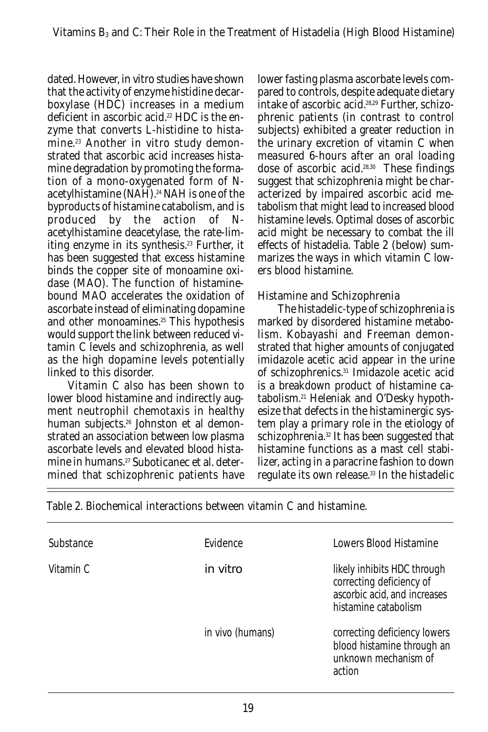dated. However, in vitro studies have shown that the activity of enzyme histidine decarboxylase (HDC) increases in a medium deficient in ascorbic acid.<sup>22</sup> HDC is the enzyme that converts L-histidine to histamine.23 Another in vitro study demonstrated that ascorbic acid increases histamine degradation by promoting the formation of a mono-oxygenated form of Nacetylhistamine (NAH).<sup>24</sup> NAH is one of the byproducts of histamine catabolism, and is produced by the action of Nacetylhistamine deacetylase, the rate-limiting enzyme in its synthesis.<sup>23</sup> Further, it has been suggested that excess histamine binds the copper site of monoamine oxidase (MAO). The function of histaminebound MAO accelerates the oxidation of ascorbate instead of eliminating dopamine and other monoamines.<sup>25</sup> This hypothesis would support the link between reduced vitamin C levels and schizophrenia, as well as the high dopamine levels potentially linked to this disorder.

Vitamin C also has been shown to lower blood histamine and indirectly augment neutrophil chemotaxis in healthy human subjects.26 Johnston et al demonstrated an association between low plasma ascorbate levels and elevated blood histamine in humans.<sup>27</sup> Suboticanec et al. determined that schizophrenic patients have

lower fasting plasma ascorbate levels compared to controls, despite adequate dietary intake of ascorbic acid.28,29 Further, schizophrenic patients (in contrast to control subjects) exhibited a greater reduction in the urinary excretion of vitamin C when measured 6-hours after an oral loading dose of ascorbic acid.28,30 These findings suggest that schizophrenia might be characterized by impaired ascorbic acid metabolism that might lead to increased blood histamine levels. Optimal doses of ascorbic acid might be necessary to combat the ill effects of histadelia. Table 2 (below) summarizes the ways in which vitamin C lowers blood histamine.

## Histamine and Schizophrenia

The histadelic-type of schizophrenia is marked by disordered histamine metabolism. Kobayashi and Freeman demonstrated that higher amounts of conjugated imidazole acetic acid appear in the urine of schizophrenics.31 Imidazole acetic acid is a breakdown product of histamine catabolism.21 Heleniak and O'Desky hypothesize that defects in the histaminergic system play a primary role in the etiology of schizophrenia.32 It has been suggested that histamine functions as a mast cell stabilizer, acting in a paracrine fashion to down regulate its own release.<sup>33</sup> In the histadelic

| Substance | <b>Fvidence</b>  | Lowers Blood Histamine                                                                                          |
|-----------|------------------|-----------------------------------------------------------------------------------------------------------------|
| Vitamin C | in vitro         | likely inhibits HDC through<br>correcting deficiency of<br>ascorbic acid, and increases<br>histamine catabolism |
|           | in vivo (humans) | correcting deficiency lowers<br>blood histamine through an<br>unknown mechanism of<br>action                    |

Table 2. Biochemical interactions between vitamin C and histamine.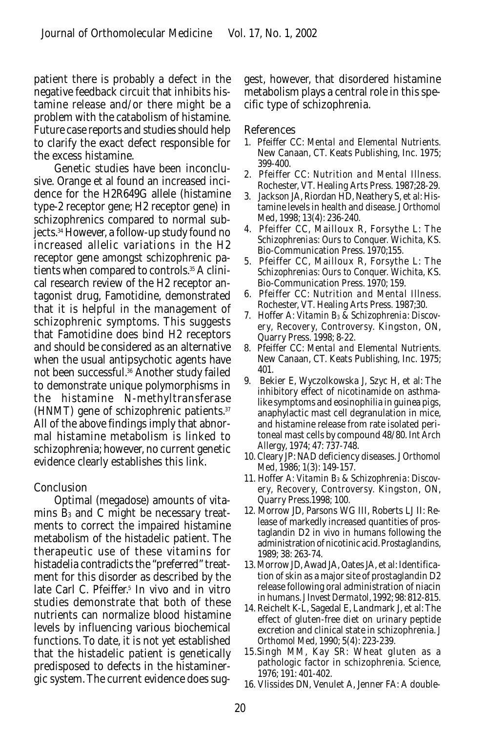patient there is probably a defect in the negative feedback circuit that inhibits histamine release and/or there might be a problem with the catabolism of histamine. Future case reports and studies should help to clarify the exact defect responsible for the excess histamine.

Genetic studies have been inconclusive. Orange et al found an increased incidence for the H2R649G allele (histamine type-2 receptor gene; H2 receptor gene) in schizophrenics compared to normal subjects.34 However, a follow-up study found no increased allelic variations in the H2 receptor gene amongst schizophrenic patients when compared to controls.35 A clinical research review of the H2 receptor antagonist drug, Famotidine, demonstrated that it is helpful in the management of schizophrenic symptoms. This suggests that Famotidine does bind H2 receptors and should be considered as an alternative when the usual antipsychotic agents have not been successful.36 Another study failed to demonstrate unique polymorphisms in the histamine N-methyltransferase (HNMT) gene of schizophrenic patients.37 All of the above findings imply that abnormal histamine metabolism is linked to schizophrenia; however, no current genetic evidence clearly establishes this link.

#### Conclusion

Optimal (megadose) amounts of vitamins  $B_3$  and C might be necessary treatments to correct the impaired histamine metabolism of the histadelic patient. The therapeutic use of these vitamins for histadelia contradicts the "preferred" treatment for this disorder as described by the late Carl C. Pfeiffer.<sup>5</sup> In vivo and in vitro studies demonstrate that both of these nutrients can normalize blood histamine levels by influencing various biochemical functions. To date, it is not yet established that the histadelic patient is genetically predisposed to defects in the histaminergic system. The current evidence does suggest, however, that disordered histamine metabolism plays a central role in this specific type of schizophrenia.

#### References

- 1. Pfeiffer CC: *Mental and Elemental Nutrients.* New Canaan, CT. Keats Publishing, Inc. 1975; 399-400.
- 2. Pfeiffer CC: *Nutrition and Mental Illness.* Rochester, VT. Healing Arts Press. 1987;28-29.
- 3. Jackson JA, Riordan HD, Neathery S, et al: Histamine levels in health and disease. *J Orthomol Med*, 1998; 13(4): 236-240.
- 4. Pfeiffer CC, Mailloux R, Forsythe L: *The Schizophrenias: Ours to Conquer.* Wichita, KS. Bio-Communication Press. 1970;155.
- 5. Pfeiffer CC, Mailloux R, Forsythe L: *The Schizophrenias: Ours to Conquer.* Wichita, KS. Bio-Communication Press. 1970; 159.
- 6. Pfeiffer CC: *Nutrition and Mental Illness.* Rochester, VT. Healing Arts Press. 1987;30.
- 7. Hoffer A: *Vitamin B3 & Schizophrenia: Discovery, Recovery, Controversy.* Kingston, ON, Quarry Press. 1998; 8-22.
- 8. Pfeiffer CC: *Mental and Elemental Nutrients.* New Canaan, CT. Keats Publishing, Inc. 1975; 401.
- 9. Bekier E, Wyczolkowska J, Szyc H, et al: The inhibitory effect of nicotinamide on asthmalike symptoms and eosinophilia in guinea pigs, anaphylactic mast cell degranulation in mice, and histamine release from rate isolated peritoneal mast cells by compound 48/80. *Int Arch Allergy,* 1974; 47: 737-748.
- 10. Cleary JP: NAD deficiency diseases. *J Orthomol Med,* 1986; 1(3): 149-157.
- 11. Hoffer *A: Vitamin B3 & Schizophrenia: Discovery, Recovery, Controversy.* Kingston, ON, Quarry Press.1998; 100.
- 12. Morrow JD, Parsons WG III, Roberts LJ II: Release of markedly increased quantities of prostaglandin D2 in vivo in humans following the administration of nicotinic acid. *Prostaglandins,* 1989; 38: 263-74.
- 13. Morrow JD, Awad JA, Oates JA, et al: Identification of skin as a major site of prostaglandin D2 release following oral administration of niacin in humans. *J Invest Dermatol,* 1992; 98: 812-815.
- 14. Reichelt K-L, Sagedal E, Landmark J, et al: The effect of gluten-free diet on urinary peptide excretion and clinical state in schizophrenia. *J Orthomol Med,* 1990; 5(4): 223-239.
- 15.Singh MM, Kay SR: Wheat gluten as a pathologic factor in schizophrenia. *Science,* 1976; 191: 401-402.
- 16. Vlissides DN, Venulet A, Jenner FA: A double-